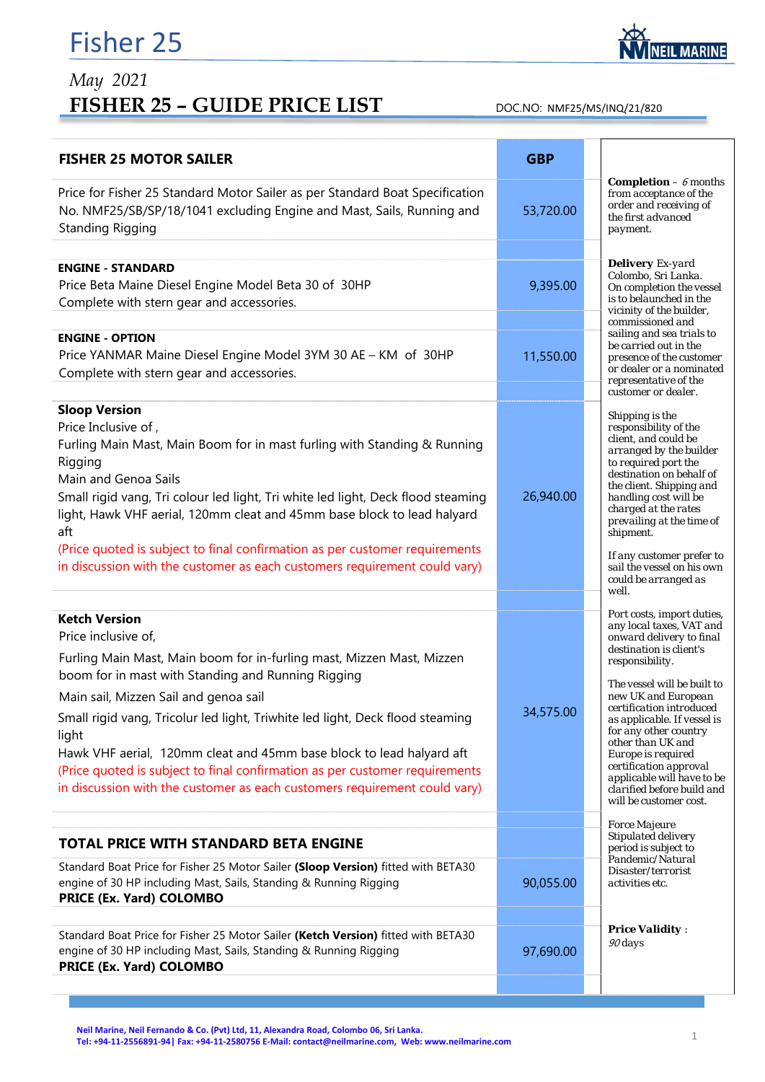## Fisher 25



## *May 2021*  FISHER 25 - GUIDE PRICE LIST DOC.NO: NMF25/MS/INQ/21/820

| <b>FISHER 25 MOTOR SAILER</b>                                                                                                                                                    | <b>GBP</b> |                                                                                                                      |
|----------------------------------------------------------------------------------------------------------------------------------------------------------------------------------|------------|----------------------------------------------------------------------------------------------------------------------|
| Price for Fisher 25 Standard Motor Sailer as per Standard Boat Specification<br>No. NMF25/SB/SP/18/1041 excluding Engine and Mast, Sails, Running and<br><b>Standing Rigging</b> | 53,720.00  | <b>Completion</b> $- 6$ months<br>from acceptance of the<br>order and receiving of<br>the first advanced<br>payment. |
|                                                                                                                                                                                  |            | <b>Delivery</b> Ex-yard                                                                                              |
| <b>ENGINE - STANDARD</b>                                                                                                                                                         |            | Colombo, Sri Lanka.                                                                                                  |
| Price Beta Maine Diesel Engine Model Beta 30 of 30HP                                                                                                                             | 9,395.00   | On completion the vessel<br>is to belaunched in the                                                                  |
| Complete with stern gear and accessories.                                                                                                                                        |            | vicinity of the builder.                                                                                             |
| <b>ENGINE - OPTION</b>                                                                                                                                                           |            | commissioned and<br>sailing and sea trials to                                                                        |
| Price YANMAR Maine Diesel Engine Model 3YM 30 AE - KM of 30HP                                                                                                                    |            | be carried out in the                                                                                                |
| Complete with stern gear and accessories.                                                                                                                                        | 11,550.00  | presence of the customer<br>or dealer or a nominated                                                                 |
|                                                                                                                                                                                  |            | representative of the                                                                                                |
| <b>Sloop Version</b>                                                                                                                                                             |            | customer or dealer.                                                                                                  |
| Price Inclusive of,                                                                                                                                                              |            | Shipping is the<br>responsibility of the                                                                             |
| Furling Main Mast, Main Boom for in mast furling with Standing & Running                                                                                                         |            | client, and could be                                                                                                 |
| Rigging                                                                                                                                                                          |            | arranged by the builder<br>to required port the                                                                      |
| Main and Genoa Sails                                                                                                                                                             |            | destination on behalf of                                                                                             |
| Small rigid vang, Tri colour led light, Tri white led light, Deck flood steaming                                                                                                 | 26,940.00  | the client. Shipping and                                                                                             |
| light, Hawk VHF aerial, 120mm cleat and 45mm base block to lead halyard                                                                                                          |            | handling cost will be<br>charged at the rates                                                                        |
| aft                                                                                                                                                                              |            | prevailing at the time of                                                                                            |
| (Price quoted is subject to final confirmation as per customer requirements                                                                                                      |            | shipment.                                                                                                            |
| in discussion with the customer as each customers requirement could vary)                                                                                                        |            | If any customer prefer to                                                                                            |
|                                                                                                                                                                                  |            | sail the vessel on his own<br>could be arranged as                                                                   |
|                                                                                                                                                                                  |            | well.                                                                                                                |
| <b>Ketch Version</b>                                                                                                                                                             |            | Port costs, import duties,                                                                                           |
| Price inclusive of,                                                                                                                                                              |            | any local taxes, VAT and<br>onward delivery to final                                                                 |
|                                                                                                                                                                                  |            | destination is client's                                                                                              |
| Furling Main Mast, Main boom for in-furling mast, Mizzen Mast, Mizzen                                                                                                            |            | responsibility.                                                                                                      |
| boom for in mast with Standing and Running Rigging                                                                                                                               |            | The vessel will be built to                                                                                          |
| Main sail, Mizzen Sail and genoa sail                                                                                                                                            |            | new UK and European<br>certification introduced                                                                      |
| Small rigid vang, Tricolur led light, Triwhite led light, Deck flood steaming                                                                                                    | 34,575.00  | as applicable. If vessel is                                                                                          |
| light                                                                                                                                                                            |            | for any other country<br>other than UK and                                                                           |
| Hawk VHF aerial, 120mm cleat and 45mm base block to lead halyard aft                                                                                                             |            | Europe is required                                                                                                   |
| (Price quoted is subject to final confirmation as per customer requirements                                                                                                      |            | certification approval<br>applicable will have to be                                                                 |
| in discussion with the customer as each customers requirement could vary)                                                                                                        |            | clarified before build and                                                                                           |
|                                                                                                                                                                                  |            | will be customer cost.                                                                                               |
|                                                                                                                                                                                  |            | <b>Force Majeure</b>                                                                                                 |
| <b>TOTAL PRICE WITH STANDARD BETA ENGINE</b>                                                                                                                                     |            | Stipulated delivery<br>period is subject to                                                                          |
| Standard Boat Price for Fisher 25 Motor Sailer (Sloop Version) fitted with BETA30                                                                                                |            | Pandemic/Natural<br>Disaster/terrorist                                                                               |
| engine of 30 HP including Mast, Sails, Standing & Running Rigging                                                                                                                | 90,055.00  | activities etc.                                                                                                      |
| PRICE (Ex. Yard) COLOMBO                                                                                                                                                         |            |                                                                                                                      |
|                                                                                                                                                                                  |            |                                                                                                                      |
| Standard Boat Price for Fisher 25 Motor Sailer (Ketch Version) fitted with BETA30                                                                                                |            | <b>Price Validity:</b>                                                                                               |
| engine of 30 HP including Mast, Sails, Standing & Running Rigging                                                                                                                | 97,690.00  | 90 days                                                                                                              |
| PRICE (Ex. Yard) COLOMBO                                                                                                                                                         |            |                                                                                                                      |
|                                                                                                                                                                                  |            |                                                                                                                      |

Neil Marine, Neil Fernando & Co. (Pvt) Ltd, 11, Alexandra Road, Colombo 06, Sri Lanka. **Tel: +94‐11‐2556891‐94| Fax: +94‐11‐2580756 E‐Mail: contact@neilmarine.com, Web: www.neilmarine.com** 1